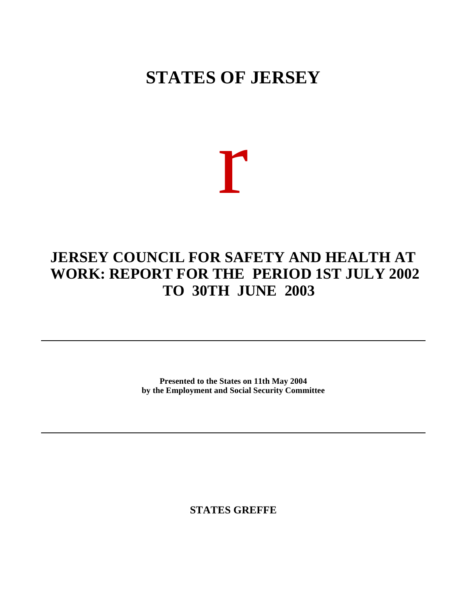# **STATES OF JERSEY**

# r

## **JERSEY COUNCIL FOR SAFETY AND HEALTH AT WORK: REPORT FOR THE PERIOD 1ST JULY 2002 TO 30TH JUNE 2003**

**Presented to the States on 11th May 2004 by the Employment and Social Security Committee**

**STATES GREFFE**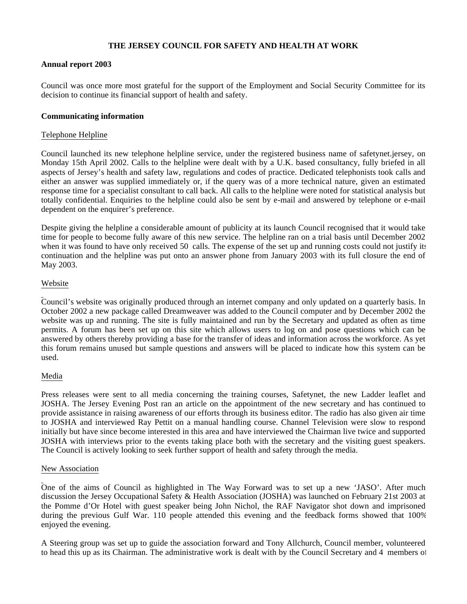## **THE JERSEY COUNCIL FOR SAFETY AND HEALTH AT WORK**

## **Annual report 2003**

Council was once more most grateful for the support of the Employment and Social Security Committee for its decision to continue its financial support of health and safety.

## **Communicating information**

## Telephone Helpline

Council launched its new telephone helpline service, under the registered business name of safetynet.jersey, on Monday 15th April 2002. Calls to the helpline were dealt with by a U.K. based consultancy, fully briefed in all aspects of Jersey's health and safety law, regulations and codes of practice. Dedicated telephonists took calls and either an answer was supplied immediately or, if the query was of a more technical nature, given an estimated response time for a specialist consultant to call back. All calls to the helpline were noted for statistical analysis but totally confidential. Enquiries to the helpline could also be sent by e-mail and answered by telephone or e-mail dependent on the enquirer's preference.

Despite giving the helpline a considerable amount of publicity at its launch Council recognised that it would take time for people to become fully aware of this new service. The helpline ran on a trial basis until December 2002 when it was found to have only received 50 calls. The expense of the set up and running costs could not justify its continuation and the helpline was put onto an answer phone from January 2003 with its full closure the end of May 2003.

## Website

Council's website was originally produced through an internet company and only updated on a quarterly basis. In October 2002 a new package called Dreamweaver was added to the Council computer and by December 2002 the website was up and running. The site is fully maintained and run by the Secretary and updated as often as time permits. A forum has been set up on this site which allows users to log on and pose questions which can be answered by others thereby providing a base for the transfer of ideas and information across the workforce. As yet this forum remains unused but sample questions and answers will be placed to indicate how this system can be used.

## Media

Press releases were sent to all media concerning the training courses, Safetynet, the new Ladder leaflet and JOSHA. The Jersey Evening Post ran an article on the appointment of the new secretary and has continued to provide assistance in raising awareness of our efforts through its business editor. The radio has also given air time to JOSHA and interviewed Ray Pettit on a manual handling course. Channel Television were slow to respond initially but have since become interested in this area and have interviewed the Chairman live twice and supported JOSHA with interviews prior to the events taking place both with the secretary and the visiting guest speakers. The Council is actively looking to seek further support of health and safety through the media.

## New Association

One of the aims of Council as highlighted in The Way Forward was to set up a new 'JASO'. After much discussion the Jersey Occupational Safety & Health Association (JOSHA) was launched on February 21st 2003 at the Pomme d'Or Hotel with guest speaker being John Nichol, the RAF Navigator shot down and imprisoned during the previous Gulf War. 110 people attended this evening and the feedback forms showed that 100% enjoyed the evening.

A Steering group was set up to guide the association forward and Tony Allchurch, Council member, volunteered to head this up as its Chairman. The administrative work is dealt with by the Council Secretary and 4 members of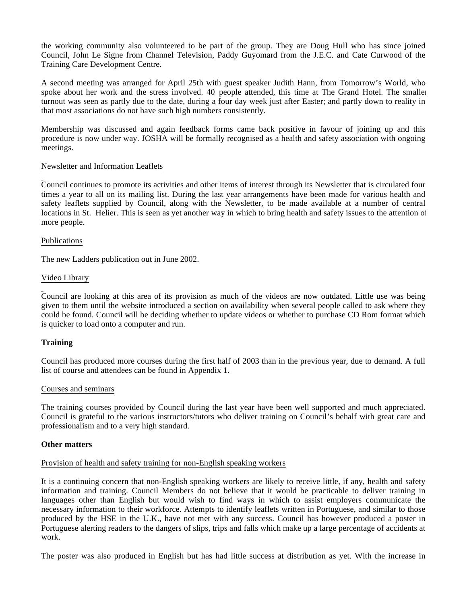the working community also volunteered to be part of the group. They are Doug Hull who has since joined Council, John Le Signe from Channel Television, Paddy Guyomard from the J.E.C. and Cate Curwood of the Training Care Development Centre.

A second meeting was arranged for April 25th with guest speaker Judith Hann, from Tomorrow's World, who spoke about her work and the stress involved. 40 people attended, this time at The Grand Hotel. The smaller turnout was seen as partly due to the date, during a four day week just after Easter; and partly down to reality in that most associations do not have such high numbers consistently.

Membership was discussed and again feedback forms came back positive in favour of joining up and this procedure is now under way. JOSHA will be formally recognised as a health and safety association with ongoing meetings.

## Newsletter and Information Leaflets

Council continues to promote its activities and other items of interest through its Newsletter that is circulated four times a year to all on its mailing list. During the last year arrangements have been made for various health and safety leaflets supplied by Council, along with the Newsletter, to be made available at a number of central locations in St. Helier. This is seen as yet another way in which to bring health and safety issues to the attention of more people.

## Publications

The new Ladders publication out in June 2002.

## Video Library

Council are looking at this area of its provision as much of the videos are now outdated. Little use was being given to them until the website introduced a section on availability when several people called to ask where they could be found. Council will be deciding whether to update videos or whether to purchase CD Rom format which is quicker to load onto a computer and run.

## **Training**

Council has produced more courses during the first half of 2003 than in the previous year, due to demand. A full list of course and attendees can be found in Appendix 1.

## Courses and seminars

The training courses provided by Council during the last year have been well supported and much appreciated. Council is grateful to the various instructors/tutors who deliver training on Council's behalf with great care and professionalism and to a very high standard.

## **Other matters**

## Provision of health and safety training for non-English speaking workers

It is a continuing concern that non-English speaking workers are likely to receive little, if any, health and safety information and training. Council Members do not believe that it would be practicable to deliver training in languages other than English but would wish to find ways in which to assist employers communicate the necessary information to their workforce. Attempts to identify leaflets written in Portuguese, and similar to those produced by the HSE in the U.K., have not met with any success. Council has however produced a poster in Portuguese alerting readers to the dangers of slips, trips and falls which make up a large percentage of accidents at work.

The poster was also produced in English but has had little success at distribution as yet. With the increase in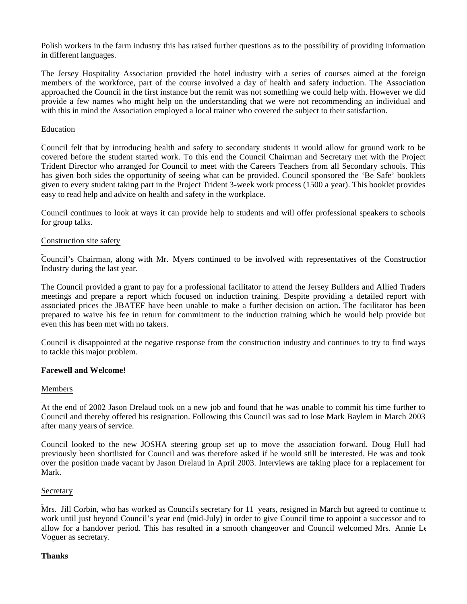Polish workers in the farm industry this has raised further questions as to the possibility of providing information in different languages.

The Jersey Hospitality Association provided the hotel industry with a series of courses aimed at the foreign members of the workforce, part of the course involved a day of health and safety induction. The Association approached the Council in the first instance but the remit was not something we could help with. However we did provide a few names who might help on the understanding that we were not recommending an individual and with this in mind the Association employed a local trainer who covered the subject to their satisfaction.

## **Education**

Council felt that by introducing health and safety to secondary students it would allow for ground work to be covered before the student started work. To this end the Council Chairman and Secretary met with the Project Trident Director who arranged for Council to meet with the Careers Teachers from all Secondary schools. This has given both sides the opportunity of seeing what can be provided. Council sponsored the 'Be Safe' booklets given to every student taking part in the Project Trident 3-week work process (1500 a year). This booklet provides easy to read help and advice on health and safety in the workplace.

Council continues to look at ways it can provide help to students and will offer professional speakers to schools for group talks.

## Construction site safety

Council's Chairman, along with Mr. Myers continued to be involved with representatives of the Construction Industry during the last year.

The Council provided a grant to pay for a professional facilitator to attend the Jersey Builders and Allied Traders meetings and prepare a report which focused on induction training. Despite providing a detailed report with associated prices the JBATEF have been unable to make a further decision on action. The facilitator has been prepared to waive his fee in return for commitment to the induction training which he would help provide but even this has been met with no takers.

Council is disappointed at the negative response from the construction industry and continues to try to find ways to tackle this major problem.

## **Farewell and Welcome!**

## Members

At the end of 2002 Jason Drelaud took on a new job and found that he was unable to commit his time further to Council and thereby offered his resignation. Following this Council was sad to lose Mark Baylem in March 2003 after many years of service.

Council looked to the new JOSHA steering group set up to move the association forward. Doug Hull had previously been shortlisted for Council and was therefore asked if he would still be interested. He was and took over the position made vacant by Jason Drelaud in April 2003. Interviews are taking place for a replacement for Mark.

## **Secretary**

Mrs. Jill Corbin, who has worked as Council's secretary for 11 years, resigned in March but agreed to continue to work until just beyond Council's year end (mid-July) in order to give Council time to appoint a successor and to allow for a handover period. This has resulted in a smooth changeover and Council welcomed Mrs. Annie Le Voguer as secretary.

## **Thanks**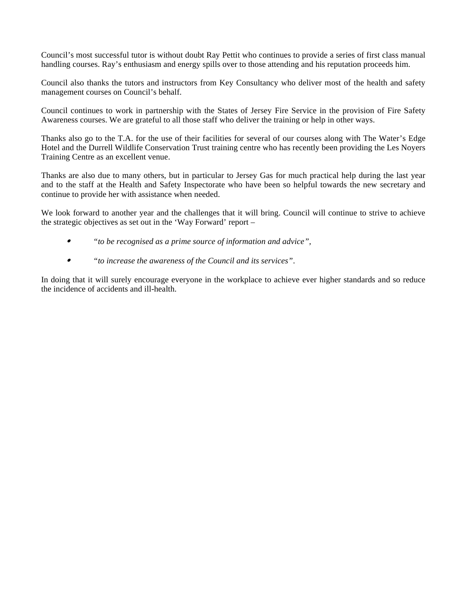Council's most successful tutor is without doubt Ray Pettit who continues to provide a series of first class manual handling courses. Ray's enthusiasm and energy spills over to those attending and his reputation proceeds him.

Council also thanks the tutors and instructors from Key Consultancy who deliver most of the health and safety management courses on Council's behalf.

Council continues to work in partnership with the States of Jersey Fire Service in the provision of Fire Safety Awareness courses. We are grateful to all those staff who deliver the training or help in other ways.

Thanks also go to the T.A. for the use of their facilities for several of our courses along with The Water's Edge Hotel and the Durrell Wildlife Conservation Trust training centre who has recently been providing the Les Noyers Training Centre as an excellent venue.

Thanks are also due to many others, but in particular to Jersey Gas for much practical help during the last year and to the staff at the Health and Safety Inspectorate who have been so helpful towards the new secretary and continue to provide her with assistance when needed.

We look forward to another year and the challenges that it will bring. Council will continue to strive to achieve the strategic objectives as set out in the 'Way Forward' report –

- *"to be recognised as a prime source of information and advice",*
- *"to increase the awareness of the Council and its services"*.

In doing that it will surely encourage everyone in the workplace to achieve ever higher standards and so reduce the incidence of accidents and ill-health.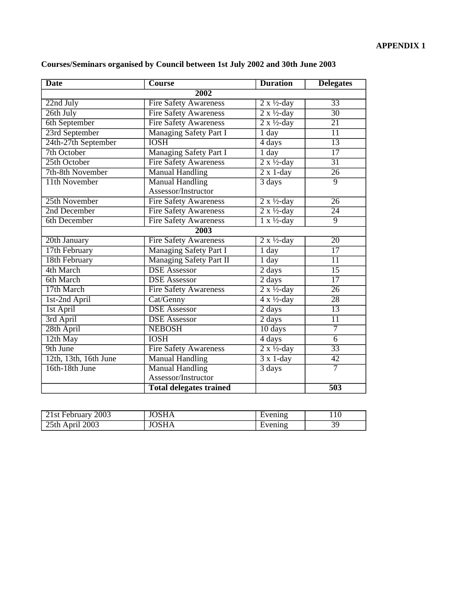| <b>Date</b>           | <b>Course</b>                  | <b>Duration</b>                       | <b>Delegates</b> |  |
|-----------------------|--------------------------------|---------------------------------------|------------------|--|
| 2002                  |                                |                                       |                  |  |
| 22nd July             | <b>Fire Safety Awareness</b>   | $2 \times \frac{1}{2}$ -day           | $\overline{33}$  |  |
| 26th July             | <b>Fire Safety Awareness</b>   | $\overline{2x\frac{1}{2}\text{-day}}$ | $\overline{30}$  |  |
| 6th September         | <b>Fire Safety Awareness</b>   | $2x\frac{1}{2}$ -day                  | $\overline{21}$  |  |
| 23rd September        | <b>Managing Safety Part I</b>  | $1$ day                               | $\overline{11}$  |  |
| 24th-27th September   | <b>IOSH</b>                    | 4 days                                | $\overline{13}$  |  |
| 7th October           | Managing Safety Part I         | $\overline{1 \text{ day}}$            | $\overline{17}$  |  |
| 25th October          | <b>Fire Safety Awareness</b>   | $2x\frac{1}{2}$ -day                  | $\overline{31}$  |  |
| 7th-8th November      | <b>Manual Handling</b>         | $2 x 1$ -day                          | $\overline{26}$  |  |
| 11th November         | <b>Manual Handling</b>         | 3 days                                | 9                |  |
|                       | Assessor/Instructor            |                                       |                  |  |
| 25th November         | <b>Fire Safety Awareness</b>   | $2x\frac{1}{2}$ -day                  | $\overline{26}$  |  |
| 2nd December          | <b>Fire Safety Awareness</b>   | $2x\frac{1}{2}$ -day                  | $\overline{24}$  |  |
| 6th December          | <b>Fire Safety Awareness</b>   | $1 x \frac{1}{2}$ -day                | $\overline{9}$   |  |
|                       | $\sqrt{2003}$                  |                                       |                  |  |
| 20th January          | <b>Fire Safety Awareness</b>   | $2x\frac{1}{2}$ -day                  | $\overline{20}$  |  |
| 17th February         | <b>Managing Safety Part I</b>  | $1 \overline{day}$                    | $\overline{17}$  |  |
| 18th February         | <b>Managing Safety Part II</b> | $1$ day                               | $\overline{11}$  |  |
| 4th March             | <b>DSE</b> Assessor            | $2 \text{ days}$                      | $\overline{15}$  |  |
| 6th March             | <b>DSE</b> Assessor            | 2 days                                | $\overline{17}$  |  |
| 17th March            | <b>Fire Safety Awareness</b>   | $2x\frac{1}{2}$ -day                  | $\overline{26}$  |  |
| 1st-2nd April         | $\overline{\text{Cat/Genny}}$  | $4x\frac{1}{2}$ -day                  | 28               |  |
| 1st April             | <b>DSE</b> Assessor            | $\sqrt{2 \text{ days}}$               | $\overline{13}$  |  |
| 3rd April             | <b>DSE</b> Assessor            | 2 days                                | $\overline{11}$  |  |
| 28th April            | <b>NEBOSH</b>                  | 10 days                               | 7                |  |
| $12th$ May            | <b>IOSH</b>                    | 4 days                                | $\overline{6}$   |  |
| 9th June              | <b>Fire Safety Awareness</b>   | $2x\frac{1}{2}$ -day                  | $\overline{33}$  |  |
| 12th, 13th, 16th June | <b>Manual Handling</b>         | $\overline{3x1}$ -day                 | $\overline{42}$  |  |
| 16th-18th June        | <b>Manual Handling</b>         | 3 days                                | 7                |  |
|                       | Assessor/Instructor            |                                       |                  |  |
|                       | <b>Total delegates trained</b> |                                       | 503              |  |

## **Courses/Seminars organised by Council between 1st July 2002 and 30th June 2003**

| 21st February 2003 | Evening |  |
|--------------------|---------|--|
| 25th April 2003    | :vening |  |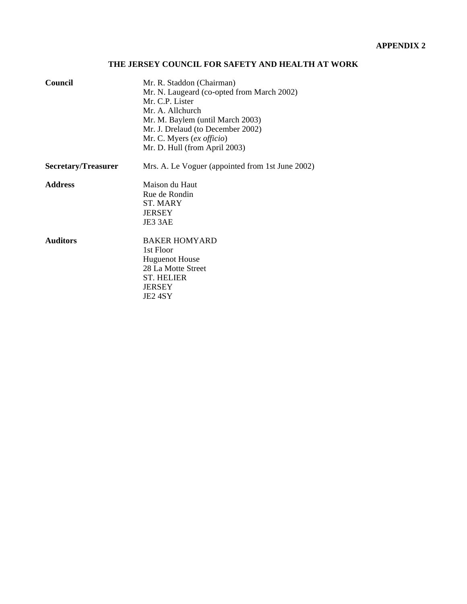## **THE JERSEY COUNCIL FOR SAFETY AND HEALTH AT WORK**

| Council                    | Mr. R. Staddon (Chairman)<br>Mr. N. Laugeard (co-opted from March 2002)<br>Mr. C.P. Lister<br>Mr. A. Allchurch<br>Mr. M. Baylem (until March 2003)<br>Mr. J. Drelaud (to December 2002)<br>Mr. C. Myers (ex officio) |
|----------------------------|----------------------------------------------------------------------------------------------------------------------------------------------------------------------------------------------------------------------|
|                            | Mr. D. Hull (from April 2003)                                                                                                                                                                                        |
| <b>Secretary/Treasurer</b> | Mrs. A. Le Voguer (appointed from 1st June 2002)                                                                                                                                                                     |
| <b>Address</b>             | Maison du Haut<br>Rue de Rondin<br><b>ST. MARY</b><br><b>JERSEY</b><br>JE3 3AE                                                                                                                                       |
| <b>Auditors</b>            | <b>BAKER HOMYARD</b><br>1st Floor<br><b>Huguenot House</b><br>28 La Motte Street<br><b>ST. HELIER</b><br><b>JERSEY</b><br>JE2 4SY                                                                                    |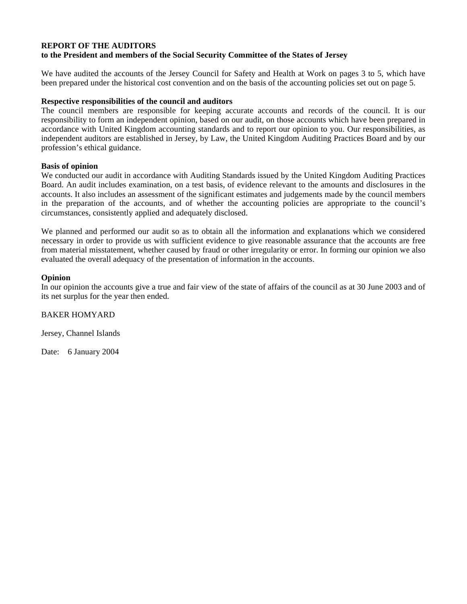## **REPORT OF THE AUDITORS to the President and members of the Social Security Committee of the States of Jersey**

We have audited the accounts of the Jersey Council for Safety and Health at Work on pages 3 to 5, which have been prepared under the historical cost convention and on the basis of the accounting policies set out on page 5.

## **Respective responsibilities of the council and auditors**

The council members are responsible for keeping accurate accounts and records of the council. It is our responsibility to form an independent opinion, based on our audit, on those accounts which have been prepared in accordance with United Kingdom accounting standards and to report our opinion to you. Our responsibilities, as independent auditors are established in Jersey, by Law, the United Kingdom Auditing Practices Board and by our profession's ethical guidance.

## **Basis of opinion**

We conducted our audit in accordance with Auditing Standards issued by the United Kingdom Auditing Practices Board. An audit includes examination, on a test basis, of evidence relevant to the amounts and disclosures in the accounts. It also includes an assessment of the significant estimates and judgements made by the council members in the preparation of the accounts, and of whether the accounting policies are appropriate to the council's circumstances, consistently applied and adequately disclosed.

We planned and performed our audit so as to obtain all the information and explanations which we considered necessary in order to provide us with sufficient evidence to give reasonable assurance that the accounts are free from material misstatement, whether caused by fraud or other irregularity or error. In forming our opinion we also evaluated the overall adequacy of the presentation of information in the accounts.

## **Opinion**

In our opinion the accounts give a true and fair view of the state of affairs of the council as at 30 June 2003 and of its net surplus for the year then ended.

BAKER HOMYARD

Jersey, Channel Islands

Date: 6 January 2004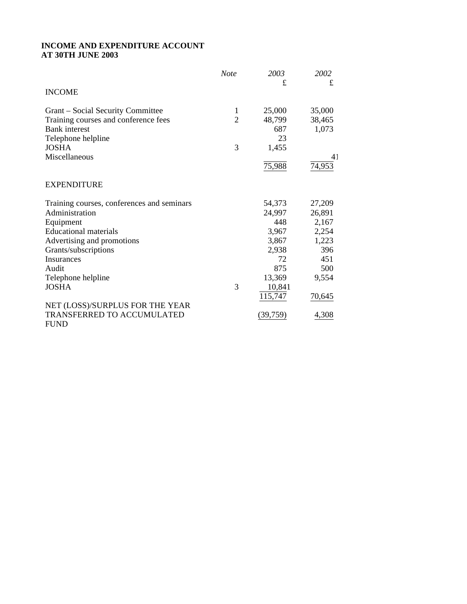## **INCOME AND EXPENDITURE ACCOUNT AT 30TH JUNE 2003**

|                                            | <b>Note</b>    | 2003      | 2002   |
|--------------------------------------------|----------------|-----------|--------|
|                                            |                | £         | £      |
| <b>INCOME</b>                              |                |           |        |
| Grant – Social Security Committee          | 1              | 25,000    | 35,000 |
| Training courses and conference fees       | $\overline{2}$ | 48,799    | 38,465 |
| <b>Bank</b> interest                       |                | 687       | 1,073  |
| Telephone helpline                         |                | 23        |        |
| <b>JOSHA</b>                               | 3              | 1,455     |        |
| Miscellaneous                              |                |           | 41     |
|                                            |                | 75,988    | 74,953 |
| <b>EXPENDITURE</b>                         |                |           |        |
| Training courses, conferences and seminars |                | 54,373    | 27,209 |
| Administration                             |                | 24,997    | 26,891 |
| Equipment                                  |                | 448       | 2,167  |
| <b>Educational materials</b>               |                | 3,967     | 2,254  |
| Advertising and promotions                 |                | 3,867     | 1,223  |
| Grants/subscriptions                       |                | 2,938     | 396    |
| Insurances                                 |                | 72        | 451    |
| Audit                                      |                | 875       | 500    |
| Telephone helpline                         |                | 13,369    | 9,554  |
| <b>JOSHA</b>                               | 3              | 10,841    |        |
|                                            |                | 115,747   | 70,645 |
| NET (LOSS)/SURPLUS FOR THE YEAR            |                |           |        |
| TRANSFERRED TO ACCUMULATED                 |                | (39, 759) | 4,308  |
| <b>FUND</b>                                |                |           |        |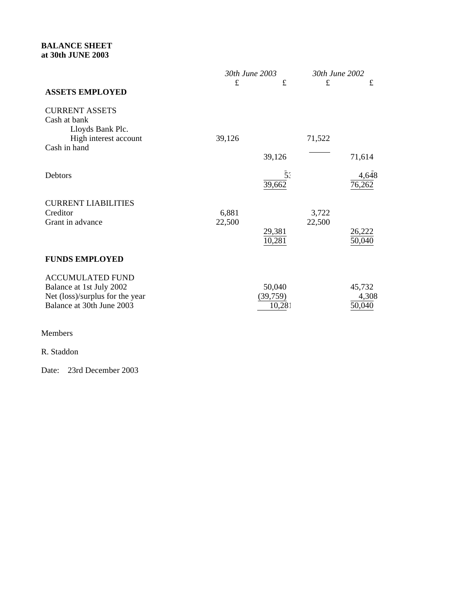## **BALANCE SHEET at 30th JUNE 2003**

|                                                                                                                     | 30th June 2003  |                               | 30th June 2002  |                           |
|---------------------------------------------------------------------------------------------------------------------|-----------------|-------------------------------|-----------------|---------------------------|
| <b>ASSETS EMPLOYED</b>                                                                                              | $\pounds$       | £                             | £               | £                         |
| <b>CURRENT ASSETS</b><br>Cash at bank<br>Lloyds Bank Plc.<br>High interest account<br>Cash in hand                  | 39,126          |                               | 71,522          |                           |
|                                                                                                                     |                 | 39,126                        |                 | 71,614                    |
| Debtors                                                                                                             |                 | 5 <sup>2</sup><br>39,662      |                 | 4,648<br>76,262           |
| <b>CURRENT LIABILITIES</b><br>Creditor<br>Grant in advance                                                          | 6,881<br>22,500 | 29,381<br>10,281              | 3,722<br>22,500 | 26,222<br>50,040          |
| <b>FUNDS EMPLOYED</b>                                                                                               |                 |                               |                 |                           |
| <b>ACCUMULATED FUND</b><br>Balance at 1st July 2002<br>Net (loss)/surplus for the year<br>Balance at 30th June 2003 |                 | 50,040<br>(39, 759)<br>10,281 |                 | 45,732<br>4,308<br>50.040 |

Members

R. Staddon

Date: 23rd December 2003